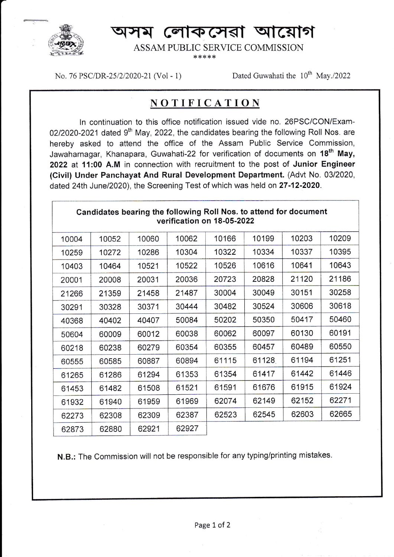

ম লোকসেৱা আয়োগ

ASSAM PIIBLIC SERVICE COMMISSION

 $* * * * *$ 

No. 76 PSC/DR-25/2/2020-21 (Vol - 1) Dated Guwahati the 10<sup>th</sup> May./2022

## NOTIFICATION

ln continuation to this office notification issued vide no. 26PSC/CON/Exam-02/2020-2021 dated  $9<sup>th</sup>$  May, 2022, the candidates bearing the following Roll Nos. are hereby asked to attend the office of the Assam Public Service Commission, Jawaharnagar, Khanapara, Guwahati-22 for verification of documents on 18<sup>th</sup> May, 2022 at 11:00 A.M in connection with recruitment to the post of Junior Engineer (Civil) Under Panchayat And Rural Development Department. (Advt No. 0312020, dated 24th June/2020), the Screening Test of which was held on 27-12-2020.

| Candidates bearing the following Roll Nos. to attend for document<br>verification on 18-05-2022 |       |       |       |       |       |       |       |
|-------------------------------------------------------------------------------------------------|-------|-------|-------|-------|-------|-------|-------|
| 10004                                                                                           | 10052 | 10060 | 10062 | 10166 | 10199 | 10203 | 10209 |
| 10259                                                                                           | 10272 | 10286 | 10304 | 10322 | 10334 | 10337 | 10395 |
| 10403                                                                                           | 10464 | 10521 | 10522 | 10526 | 10616 | 10641 | 10643 |
| 20001                                                                                           | 20008 | 20031 | 20036 | 20723 | 20828 | 21120 | 21186 |
| 21266                                                                                           | 21359 | 21458 | 21487 | 30004 | 30049 | 30151 | 30258 |
| 30291                                                                                           | 30328 | 30371 | 30444 | 30482 | 30524 | 30606 | 30618 |
| 40368                                                                                           | 40402 | 40407 | 50084 | 50202 | 50350 | 50417 | 50460 |
| 50604                                                                                           | 60009 | 60012 | 60038 | 60062 | 60097 | 60130 | 60191 |
| 60218                                                                                           | 60238 | 60279 | 60354 | 60355 | 60457 | 60489 | 60550 |
| 60555                                                                                           | 60585 | 60887 | 60894 | 61115 | 61128 | 61194 | 61251 |
| 61265                                                                                           | 61286 | 61294 | 61353 | 61354 | 61417 | 61442 | 61446 |
| 61453                                                                                           | 61482 | 61508 | 61521 | 61591 | 61676 | 61915 | 61924 |
| 61932                                                                                           | 61940 | 61959 | 61969 | 62074 | 62149 | 62152 | 62271 |
| 62273                                                                                           | 62308 | 62309 | 62387 | 62523 | 62545 | 62603 | 62665 |
| 62873                                                                                           | 62880 | 62921 | 62927 |       |       |       |       |

N.B.: The Commission will not be responsible for any typing/printing mistakes.